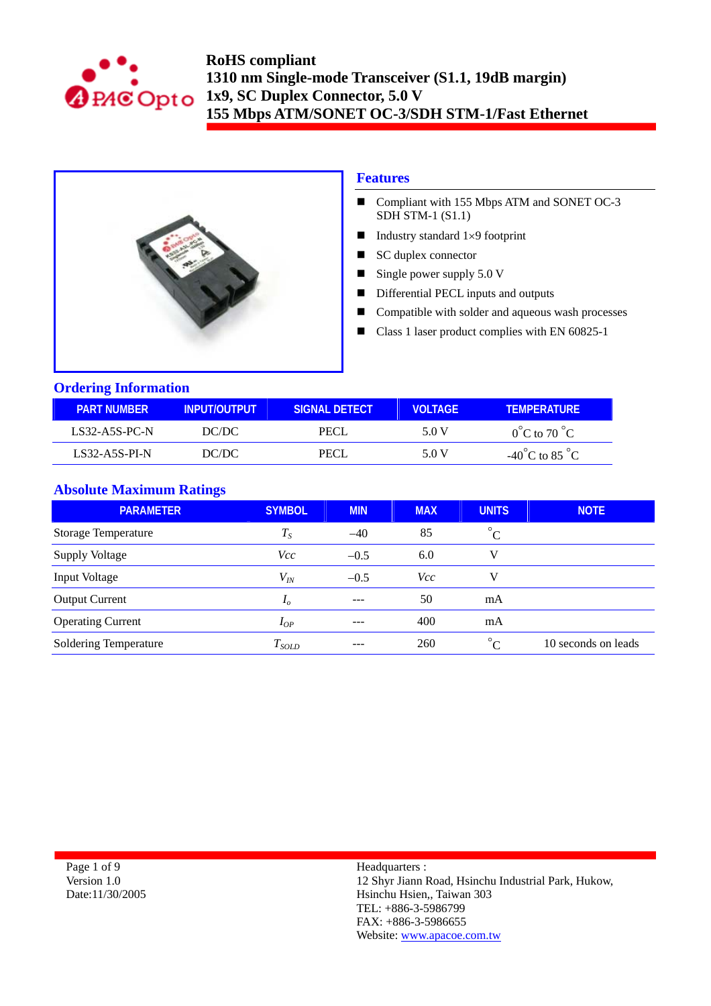



### **Features**

- Compliant with 155 Mbps ATM and SONET OC-3  $SDH$  STM-1  $(S1.1)$
- Industry standard  $1\times9$  footprint
- SC duplex connector
- Single power supply  $5.0 \text{ V}$
- **Differential PECL inputs and outputs**
- Compatible with solder and aqueous wash processes
- Class 1 laser product complies with EN 60825-1

### **Ordering Information**

| <b>PART NUMBER</b> | INPUT/OUTPUT | ISIGNAL DETECTI | VOLTAGE | <b>TEMPERATURE</b>                 |
|--------------------|--------------|-----------------|---------|------------------------------------|
| $LS32-A5S-PC-N$    | DC/DC        | PECL.           | 5.0 V   | $0^{\circ}$ C to 70 $^{\circ}$ C   |
| LS32-A5S-PL-N      | DC/DC        | PECI            | 5.0 V   | $-40^{\circ}$ C to 85 $^{\circ}$ C |

## **Absolute Maximum Ratings**

| <b>PARAMETER</b>             | <b>SYMBOL</b>  | <b>MIN</b> | <b>MAX</b> | <b>UNITS</b>              | <b>NOTE</b>         |
|------------------------------|----------------|------------|------------|---------------------------|---------------------|
| <b>Storage Temperature</b>   | $T_S$          | $-40$      | 85         | $^{\circ}C$               |                     |
| <b>Supply Voltage</b>        | Vcc            | $-0.5$     | 6.0        |                           |                     |
| Input Voltage                | $V_{I\!N}$     | $-0.5$     | <i>Vcc</i> |                           |                     |
| <b>Output Current</b>        | I <sub>o</sub> | $- - -$    | 50         | mA                        |                     |
| <b>Operating Current</b>     | $I_{OP}$       |            | 400        | mA                        |                     |
| <b>Soldering Temperature</b> | $T_{SOLD}$     | $- - -$    | 260        | $\circ$<br>$\overline{C}$ | 10 seconds on leads |

Page 1 of 9 Version 1.0 Date:11/30/2005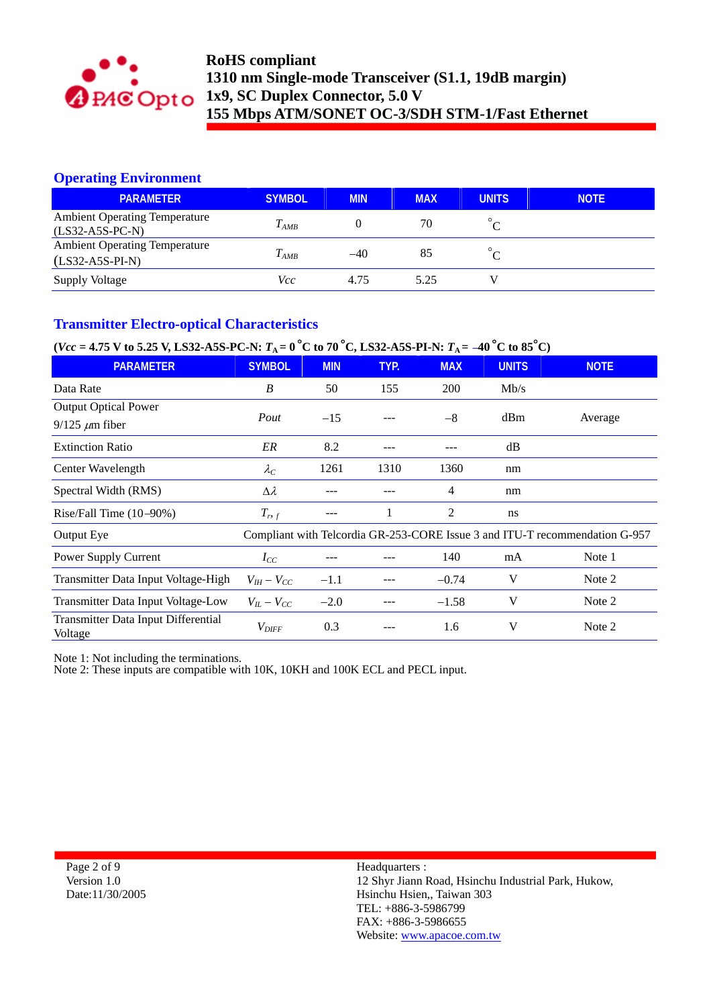

## **Operating Environment**

| <b>PARAMETER</b>                                          | <b>SYMBOL</b> | <b>MIN</b> | <b>MAX</b> | <b>UNITS</b> | <b>NOTE</b> |
|-----------------------------------------------------------|---------------|------------|------------|--------------|-------------|
| <b>Ambient Operating Temperature</b><br>$(LS32-A5S-PC-N)$ | $T_{AMB}$     |            | 70         |              |             |
| <b>Ambient Operating Temperature</b><br>$(LS32-A5S-PI-N)$ | $T_{AMB}$     | $-40$      | 85         |              |             |
| <b>Supply Voltage</b>                                     | Vcc           | 4.75       | 5.25       |              |             |

## **Transmitter Electro-optical Characteristics**

# $(Vec = 4.75 \text{ V to } 5.25 \text{ V}, \text{L}S32\text{-}A5\text{S-PC-}N: T_A = 0\text{°C to } 70\text{°C}, \text{L}S32\text{-}A5\text{S-PI-}N: T_A = -40\text{°C to } 85\text{°C})$

| <b>PARAMETER</b>                                      | <b>SYMBOL</b>     | <b>MIN</b> | TYP. | <b>MAX</b> | <b>UNITS</b> | <b>NOTE</b>                                                                 |
|-------------------------------------------------------|-------------------|------------|------|------------|--------------|-----------------------------------------------------------------------------|
| Data Rate                                             | B                 | 50         | 155  | <b>200</b> | Mb/s         |                                                                             |
| <b>Output Optical Power</b>                           | Pout              | $-15$      |      |            |              |                                                                             |
| $9/125 \ \mu m$ fiber                                 |                   |            |      | $-8$       | dBm          | Average                                                                     |
| <b>Extinction Ratio</b>                               | ER                | 8.2        | ---  |            | dB           |                                                                             |
| Center Wavelength                                     | $\lambda_C$       | 1261       | 1310 | 1360       | nm           |                                                                             |
| Spectral Width (RMS)                                  | $\Delta \lambda$  | --         |      | 4          | nm           |                                                                             |
| Rise/Fall Time $(10-90%)$                             | $T_{r,f}$         | ---        |      | 2          | ns           |                                                                             |
| Output Eye                                            |                   |            |      |            |              | Compliant with Telcordia GR-253-CORE Issue 3 and ITU-T recommendation G-957 |
| Power Supply Current                                  | $I_{CC}$          |            |      | 140        | mA           | Note 1                                                                      |
| Transmitter Data Input Voltage-High                   | $V_{IH} - V_{CC}$ | $-1.1$     |      | $-0.74$    | V            | Note 2                                                                      |
| Transmitter Data Input Voltage-Low                    | $V_{IL} - V_{CC}$ | $-2.0$     |      | $-1.58$    | V            | Note 2                                                                      |
| <b>Transmitter Data Input Differential</b><br>Voltage | $V_{DIFF}$        | 0.3        |      | 1.6        | V            | Note 2                                                                      |

Note 1: Not including the terminations.

Note 2: These inputs are compatible with 10K, 10KH and 100K ECL and PECL input.

Page 2 of 9 Version 1.0 Date:11/30/2005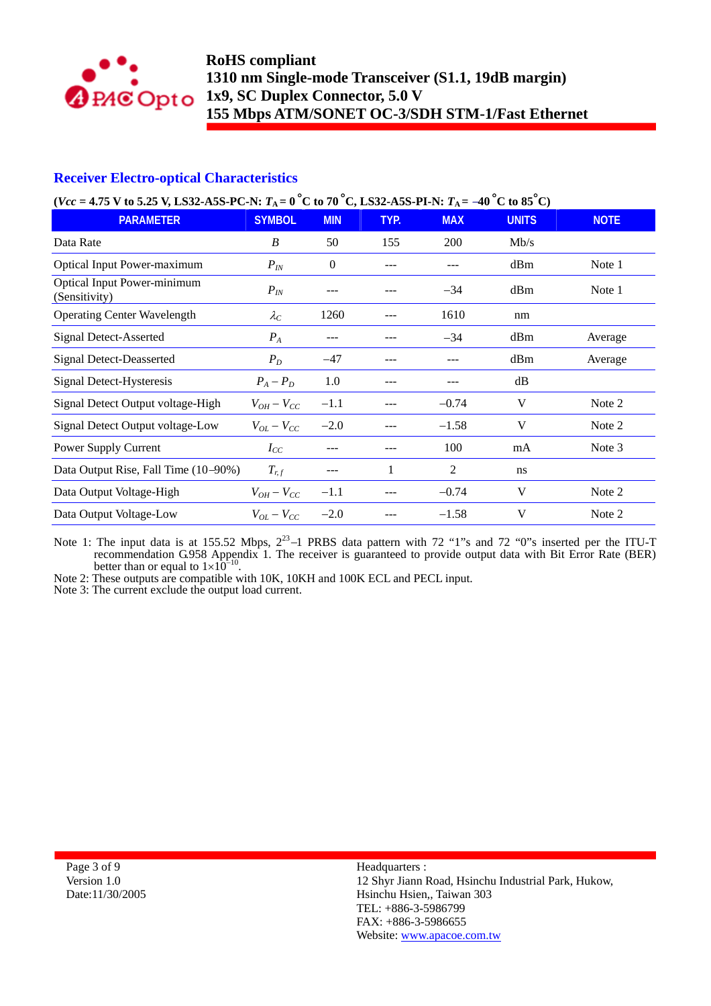

## **Receiver Electro-optical Characteristics**

| ( $Vec = 4.75$ V to 5.25 V, LS32-A5S-PC-N: $T_A = 0$ °C to 70 °C, LS32-A5S-PI-N: $T_A = -40$ °C to 85 °C) |  |  |
|-----------------------------------------------------------------------------------------------------------|--|--|
|-----------------------------------------------------------------------------------------------------------|--|--|

| <b>PARAMETER</b>                                    | <b>SYMBOL</b>     | <b>MIN</b>       | TYP.  | <b>MAX</b> | <b>UNITS</b> | <b>NOTE</b> |
|-----------------------------------------------------|-------------------|------------------|-------|------------|--------------|-------------|
| Data Rate                                           | B                 | 50               | 155   | 200        | Mb/s         |             |
| Optical Input Power-maximum                         | $P_{I\!N}$        | $\boldsymbol{0}$ |       |            | dBm          | Note 1      |
| <b>Optical Input Power-minimum</b><br>(Sensitivity) | $P_{I\!N}$        |                  |       | $-34$      | dBm          | Note 1      |
| <b>Operating Center Wavelength</b>                  | $\lambda_C$       | 1260             |       | 1610       | nm           |             |
| <b>Signal Detect-Asserted</b>                       | $P_{A}$           | ---              |       | $-34$      | dBm          | Average     |
| <b>Signal Detect-Deasserted</b>                     | $P_D$             | $-47$            | $---$ | ---        | dBm          | Average     |
| Signal Detect-Hysteresis                            | $P_A - P_D$       | 1.0              |       |            | dB           |             |
| Signal Detect Output voltage-High                   | $V_{OH} - V_{CC}$ | $-1.1$           |       | $-0.74$    | V            | Note 2      |
| Signal Detect Output voltage-Low                    | $V_{OL} - V_{CC}$ | $-2.0$           |       | $-1.58$    | V            | Note 2      |
| Power Supply Current                                | $I_{CC}$          |                  |       | 100        | mA           | Note 3      |
| Data Output Rise, Fall Time (10-90%)                | $T_{r,f}$         | ---              | 1     | 2          | ns           |             |
| Data Output Voltage-High                            | $V_{OH}-V_{CC}$   | $-1.1$           |       | $-0.74$    | V            | Note 2      |
| Data Output Voltage-Low                             | $V_{OL} - V_{CC}$ | $-2.0$           |       | $-1.58$    | V            | Note 2      |

Note 1: The input data is at 155.52 Mbps,  $2^{23}$ -1 PRBS data pattern with 72 "1"s and 72 "0"s inserted per the ITU-T recommendation G.958 Appendix 1. The receiver is guaranteed to provide output data with Bit Error Rate (BER) better than or equal to  $1\times10^{-10}$ .<br>Note 2: These outputs are compatible with 10K, 10KH and 100K ECL and PECL input.

Note 2: These outputs are compatible with 10K, 10KH and 100K ECL and PECL input.<br>Note 3: The current exclude the output load current.

Page 3 of 9 Version 1.0 Date:11/30/2005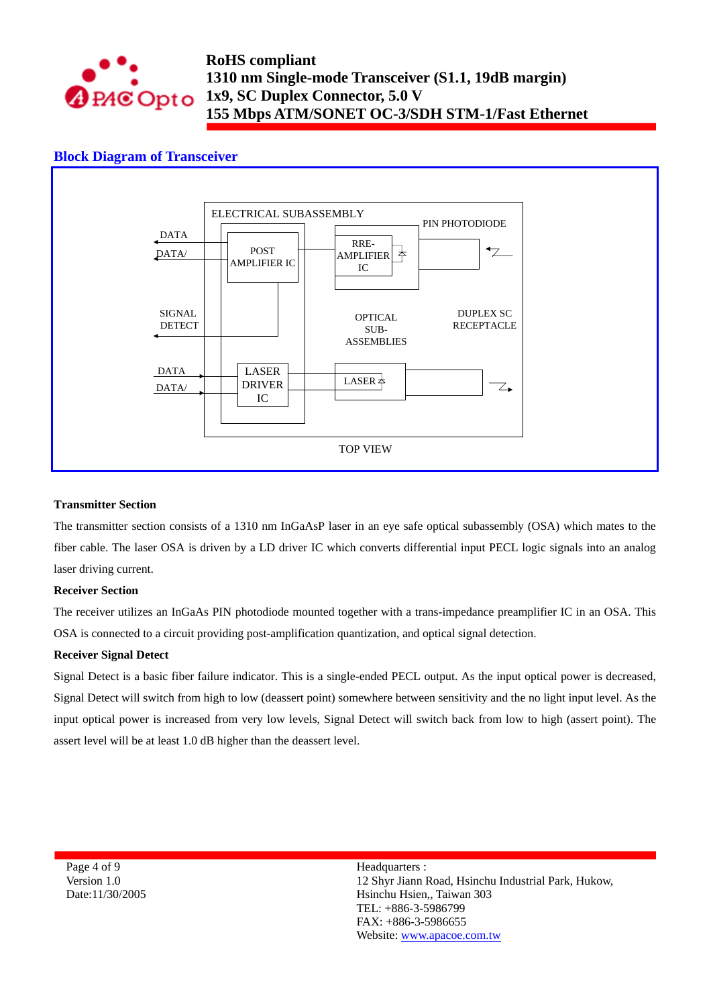

### **Block Diagram of Transceiver**



#### **Transmitter Section**

The transmitter section consists of a 1310 nm InGaAsP laser in an eye safe optical subassembly (OSA) which mates to the fiber cable. The laser OSA is driven by a LD driver IC which converts differential input PECL logic signals into an analog laser driving current.

#### **Receiver Section**

The receiver utilizes an InGaAs PIN photodiode mounted together with a trans-impedance preamplifier IC in an OSA. This OSA is connected to a circuit providing post-amplification quantization, and optical signal detection.

#### **Receiver Signal Detect**

Signal Detect is a basic fiber failure indicator. This is a single-ended PECL output. As the input optical power is decreased, Signal Detect will switch from high to low (deassert point) somewhere between sensitivity and the no light input level. As the input optical power is increased from very low levels, Signal Detect will switch back from low to high (assert point). The assert level will be at least 1.0 dB higher than the deassert level.

Page 4 of 9 Version 1.0 Date:11/30/2005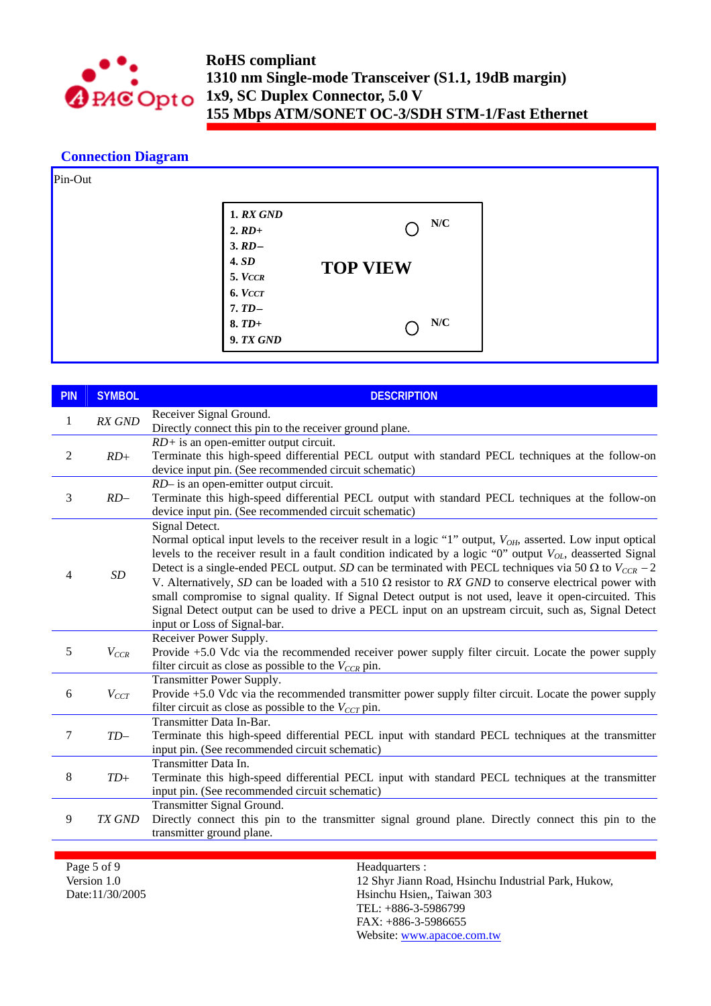

### **Connection Diagram**

| Pin-Out |                                          |                 |  |
|---------|------------------------------------------|-----------------|--|
|         | <b>1. RX GND</b><br>$2. RD+$<br>$3. RD-$ | N/C             |  |
|         | <b>4. SD</b><br>5. VCCR                  | <b>TOP VIEW</b> |  |
|         | 6. VCCT<br>$7.TD-$                       |                 |  |
|         | $8. T D+$<br>9. TX GND                   | N/C             |  |

| <b>PIN</b>     | <b>SYMBOL</b> | <b>DESCRIPTION</b>                                                                                                                                                                                                                                                                                                                                                                                                                                                                                                                                                                                                                                                                                                                          |
|----------------|---------------|---------------------------------------------------------------------------------------------------------------------------------------------------------------------------------------------------------------------------------------------------------------------------------------------------------------------------------------------------------------------------------------------------------------------------------------------------------------------------------------------------------------------------------------------------------------------------------------------------------------------------------------------------------------------------------------------------------------------------------------------|
| 1              | RX GND        | Receiver Signal Ground.<br>Directly connect this pin to the receiver ground plane.                                                                                                                                                                                                                                                                                                                                                                                                                                                                                                                                                                                                                                                          |
| $\overline{2}$ | $RD+$         | $RD$ + is an open-emitter output circuit.<br>Terminate this high-speed differential PECL output with standard PECL techniques at the follow-on<br>device input pin. (See recommended circuit schematic)                                                                                                                                                                                                                                                                                                                                                                                                                                                                                                                                     |
| 3              | $RD-$         | RD- is an open-emitter output circuit.<br>Terminate this high-speed differential PECL output with standard PECL techniques at the follow-on<br>device input pin. (See recommended circuit schematic)                                                                                                                                                                                                                                                                                                                                                                                                                                                                                                                                        |
| $\overline{4}$ | SD            | Signal Detect.<br>Normal optical input levels to the receiver result in a logic "1" output, $V_{OH}$ , asserted. Low input optical<br>levels to the receiver result in a fault condition indicated by a logic "0" output $V_{OL}$ , deasserted Signal<br>Detect is a single-ended PECL output. SD can be terminated with PECL techniques via 50 $\Omega$ to $V_{CCR}$ – 2<br>V. Alternatively, SD can be loaded with a 510 $\Omega$ resistor to RX GND to conserve electrical power with<br>small compromise to signal quality. If Signal Detect output is not used, leave it open-circuited. This<br>Signal Detect output can be used to drive a PECL input on an upstream circuit, such as, Signal Detect<br>input or Loss of Signal-bar. |
| 5              | $V_{CCR}$     | Receiver Power Supply.<br>Provide +5.0 Vdc via the recommended receiver power supply filter circuit. Locate the power supply<br>filter circuit as close as possible to the $V_{CCR}$ pin.                                                                                                                                                                                                                                                                                                                                                                                                                                                                                                                                                   |
| 6              | $V_{CCT}$     | Transmitter Power Supply.<br>Provide +5.0 Vdc via the recommended transmitter power supply filter circuit. Locate the power supply<br>filter circuit as close as possible to the $V_{CCT}$ pin.                                                                                                                                                                                                                                                                                                                                                                                                                                                                                                                                             |
| 7              | $TD-$         | Transmitter Data In-Bar.<br>Terminate this high-speed differential PECL input with standard PECL techniques at the transmitter<br>input pin. (See recommended circuit schematic)                                                                                                                                                                                                                                                                                                                                                                                                                                                                                                                                                            |
| 8              | $TD+$         | Transmitter Data In.<br>Terminate this high-speed differential PECL input with standard PECL techniques at the transmitter<br>input pin. (See recommended circuit schematic)                                                                                                                                                                                                                                                                                                                                                                                                                                                                                                                                                                |
| 9              | TX GND        | Transmitter Signal Ground.<br>Directly connect this pin to the transmitter signal ground plane. Directly connect this pin to the<br>transmitter ground plane.                                                                                                                                                                                                                                                                                                                                                                                                                                                                                                                                                                               |
|                |               |                                                                                                                                                                                                                                                                                                                                                                                                                                                                                                                                                                                                                                                                                                                                             |

Page 5 of 9 Version 1.0 Date:11/30/2005 Headquarters :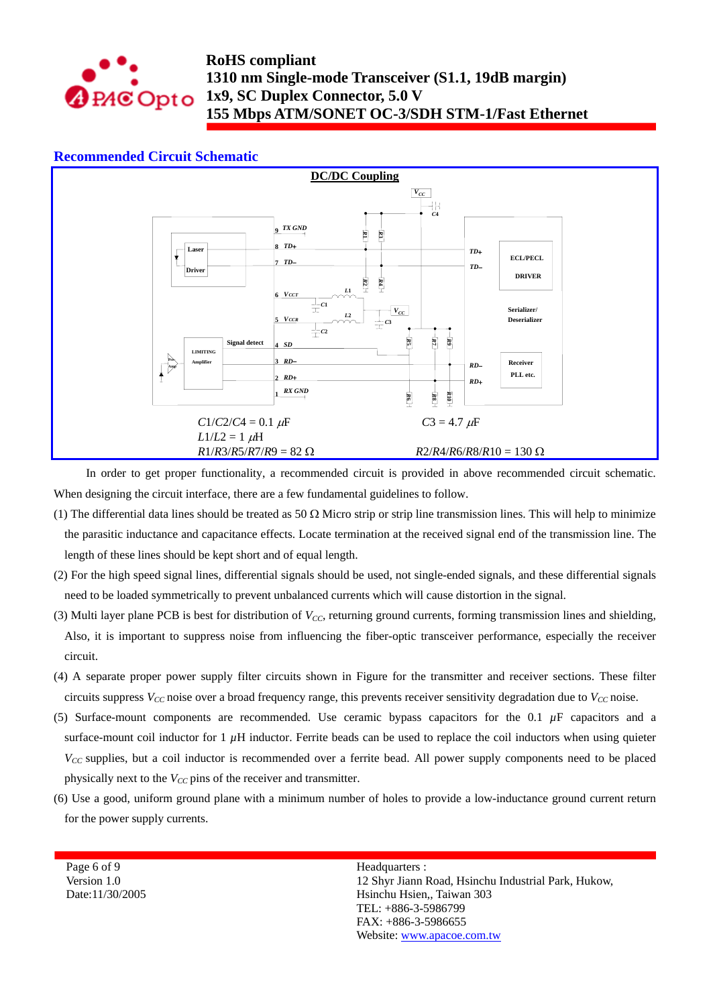

### **Recommended Circuit Schematic**



In order to get proper functionality, a recommended circuit is provided in above recommended circuit schematic. When designing the circuit interface, there are a few fundamental guidelines to follow.

- (1) The differential data lines should be treated as 50  $\Omega$  Micro strip or strip line transmission lines. This will help to minimize the parasitic inductance and capacitance effects. Locate termination at the received signal end of the transmission line. The length of these lines should be kept short and of equal length.
- (2) For the high speed signal lines, differential signals should be used, not single-ended signals, and these differential signals need to be loaded symmetrically to prevent unbalanced currents which will cause distortion in the signal.
- (3) Multi layer plane PCB is best for distribution of *V<sub>CC</sub>*, returning ground currents, forming transmission lines and shielding, Also, it is important to suppress noise from influencing the fiber-optic transceiver performance, especially the receiver circuit.
- (4) A separate proper power supply filter circuits shown in Figure for the transmitter and receiver sections. These filter circuits suppress  $V_{CC}$  noise over a broad frequency range, this prevents receiver sensitivity degradation due to  $V_{CC}$  noise.
- (5) Surface-mount components are recommended. Use ceramic bypass capacitors for the  $0.1 \mu$ F capacitors and a surface-mount coil inductor for  $1 \mu$ H inductor. Ferrite beads can be used to replace the coil inductors when using quieter *V<sub>CC</sub>* supplies, but a coil inductor is recommended over a ferrite bead. All power supply components need to be placed physically next to the *V<sub>CC</sub>* pins of the receiver and transmitter.
- (6) Use a good, uniform ground plane with a minimum number of holes to provide a low-inductance ground current return for the power supply currents.

Page 6 of 9 Version 1.0 Date:11/30/2005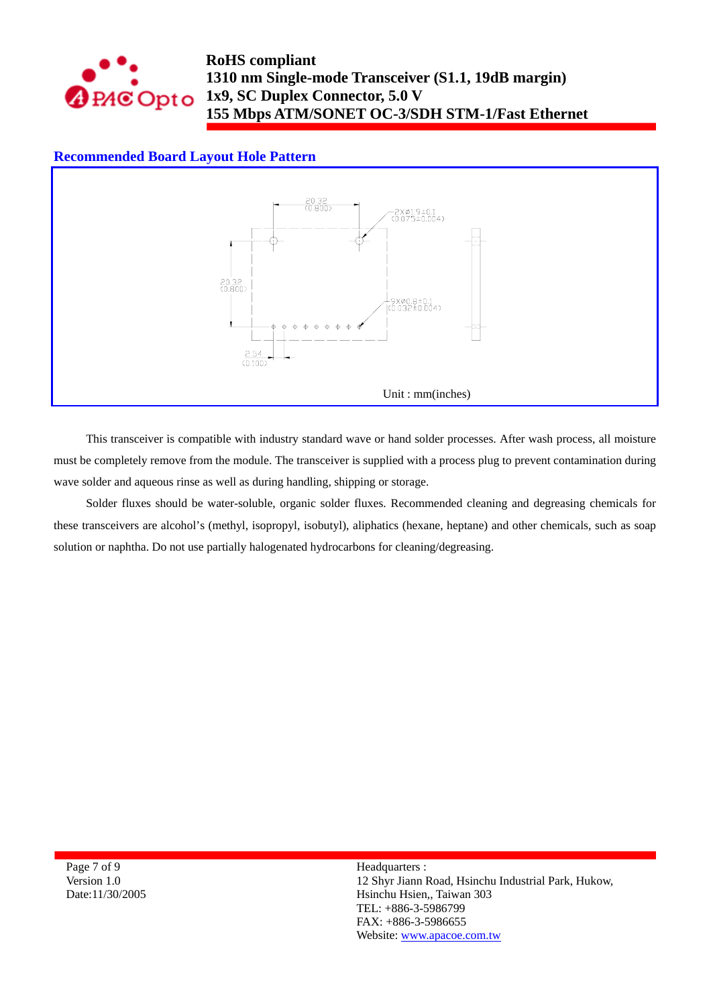

# **RoHS compliant 1310 nm Single-mode Transceiver (S1.1, 19dB margin) 1x9, SC Duplex Connector, 5.0 V 155 Mbps ATM/SONET OC-3/SDH STM-1/Fast Ethernet**

## **Recommended Board Layout Hole Pattern**



This transceiver is compatible with industry standard wave or hand solder processes. After wash process, all moisture must be completely remove from the module. The transceiver is supplied with a process plug to prevent contamination during wave solder and aqueous rinse as well as during handling, shipping or storage.

Solder fluxes should be water-soluble, organic solder fluxes. Recommended cleaning and degreasing chemicals for these transceivers are alcohol's (methyl, isopropyl, isobutyl), aliphatics (hexane, heptane) and other chemicals, such as soap solution or naphtha. Do not use partially halogenated hydrocarbons for cleaning/degreasing.

Page 7 of 9 Version 1.0 Date:11/30/2005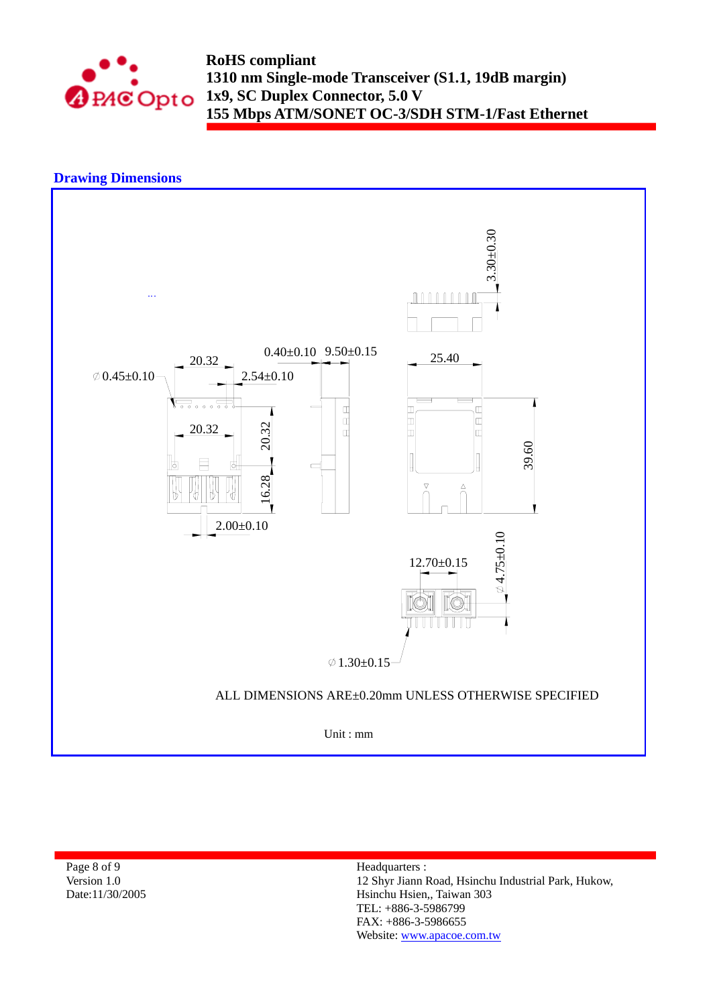

**RoHS compliant 1310 nm Single-mode Transceiver (S1.1, 19dB margin) 1x9, SC Duplex Connector, 5.0 V 155 Mbps ATM/SONET OC-3/SDH STM-1/Fast Ethernet** 

# **Drawing Dimensions**



Page 8 of 9 Version 1.0 Date:11/30/2005